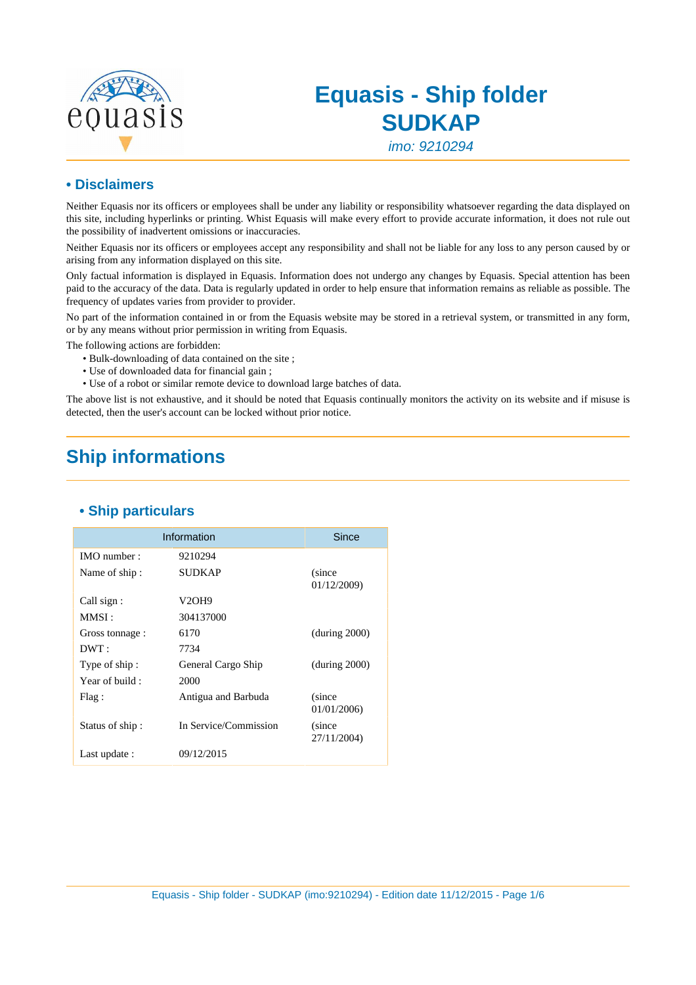

# **Equasis - Ship folder SUDKAP**

imo: 9210294

#### **• Disclaimers**

Neither Equasis nor its officers or employees shall be under any liability or responsibility whatsoever regarding the data displayed on this site, including hyperlinks or printing. Whist Equasis will make every effort to provide accurate information, it does not rule out the possibility of inadvertent omissions or inaccuracies.

Neither Equasis nor its officers or employees accept any responsibility and shall not be liable for any loss to any person caused by or arising from any information displayed on this site.

Only factual information is displayed in Equasis. Information does not undergo any changes by Equasis. Special attention has been paid to the accuracy of the data. Data is regularly updated in order to help ensure that information remains as reliable as possible. The frequency of updates varies from provider to provider.

No part of the information contained in or from the Equasis website may be stored in a retrieval system, or transmitted in any form, or by any means without prior permission in writing from Equasis.

The following actions are forbidden:

- Bulk-downloading of data contained on the site ;
- Use of downloaded data for financial gain ;
- Use of a robot or similar remote device to download large batches of data.

The above list is not exhaustive, and it should be noted that Equasis continually monitors the activity on its website and if misuse is detected, then the user's account can be locked without prior notice.

## **Ship informations**

|                 | Information           | Since                  |
|-----------------|-----------------------|------------------------|
| IMO number:     | 9210294               |                        |
| Name of ship:   | <b>SUDKAP</b>         | (since)<br>01/12/2009) |
| Call sign:      | V2OH9                 |                        |
| MMSI :          | 304137000             |                        |
| Gross tonnage : | 6170                  | (during 2000)          |
| DWT:            | 7734                  |                        |
| Type of ship:   | General Cargo Ship    | (during 2000)          |
| Year of build : | 2000                  |                        |
| Flag:           | Antigua and Barbuda   | (since)<br>01/01/2006) |
| Status of ship: | In Service/Commission | (since<br>27/11/2004)  |
| Last update :   | 09/12/2015            |                        |

#### **• Ship particulars**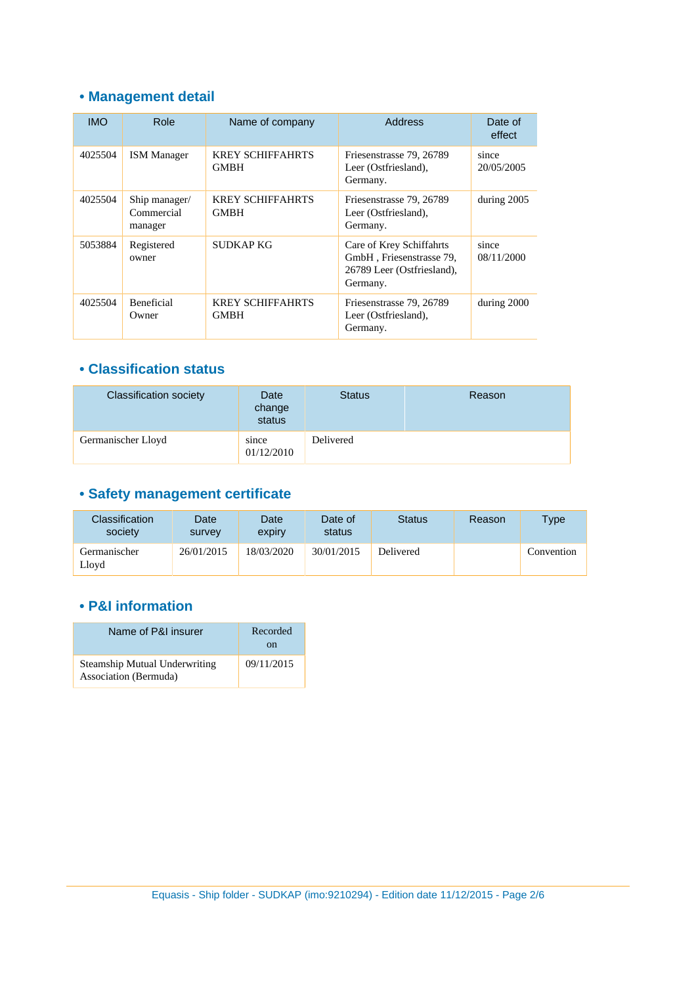### **• Management detail**

| <b>IMO</b> | Role                                   | Name of company                        | Address                                                                                        | Date of<br>effect   |
|------------|----------------------------------------|----------------------------------------|------------------------------------------------------------------------------------------------|---------------------|
| 4025504    | <b>ISM Manager</b>                     | <b>KREY SCHIFFAHRTS</b><br><b>GMBH</b> | Friesenstrasse 79, 26789<br>Leer (Ostfriesland),<br>Germany.                                   | since<br>20/05/2005 |
| 4025504    | Ship manager/<br>Commercial<br>manager | <b>KREY SCHIFFAHRTS</b><br><b>GMBH</b> | Friesenstrasse 79, 26789<br>Leer (Ostfriesland),<br>Germany.                                   | during 2005         |
| 5053884    | Registered<br>owner                    | <b>SUDKAP KG</b>                       | Care of Krey Schiffahrts<br>GmbH, Friesenstrasse 79,<br>26789 Leer (Ostfriesland),<br>Germany. | since<br>08/11/2000 |
| 4025504    | <b>Beneficial</b><br>Owner             | <b>KREY SCHIFFAHRTS</b><br>GMBH        | Friesenstrasse 79, 26789<br>Leer (Ostfriesland),<br>Germany.                                   | during 2000         |

#### **• Classification status**

| <b>Classification society</b> | Date<br>change<br>status | Status    | Reason |
|-------------------------------|--------------------------|-----------|--------|
| Germanischer Lloyd            | since<br>01/12/2010      | Delivered |        |

# **• Safety management certificate**

| Classification<br>society | Date<br>survey | Date<br>expiry | Date of<br>status | <b>Status</b> | Reason | Type       |
|---------------------------|----------------|----------------|-------------------|---------------|--------|------------|
| Germanischer<br>Lloyd     | 26/01/2015     | 18/03/2020     | 30/01/2015        | Delivered     |        | Convention |

### **• P&I information**

| Name of P&I insurer                                           | Recorded<br>on |
|---------------------------------------------------------------|----------------|
| <b>Steamship Mutual Underwriting</b><br>Association (Bermuda) | 09/11/2015     |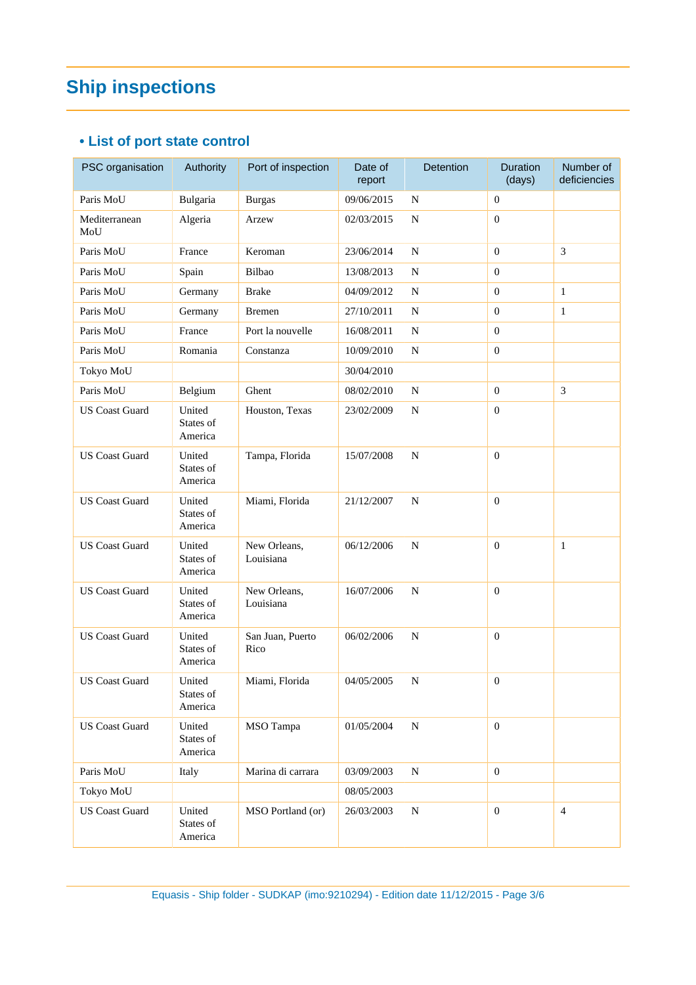# **Ship inspections**

### **• List of port state control**

| PSC organisation      | Authority                      | Port of inspection        | Date of<br>report | <b>Detention</b> | <b>Duration</b><br>(days) | Number of<br>deficiencies |
|-----------------------|--------------------------------|---------------------------|-------------------|------------------|---------------------------|---------------------------|
| Paris MoU             | Bulgaria                       | <b>Burgas</b>             | 09/06/2015        | $\mathbf N$      | $\boldsymbol{0}$          |                           |
| Mediterranean<br>MoU  | Algeria                        | Arzew                     | 02/03/2015        | ${\bf N}$        | $\overline{0}$            |                           |
| Paris MoU             | France                         | Keroman                   | 23/06/2014        | ${\bf N}$        | $\Omega$                  | 3                         |
| Paris MoU             | Spain                          | Bilbao                    | 13/08/2013        | ${\bf N}$        | $\mathbf{0}$              |                           |
| Paris MoU             | Germany                        | <b>Brake</b>              | 04/09/2012        | N                | $\theta$                  | $\mathbf{1}$              |
| Paris MoU             | Germany                        | <b>Bremen</b>             | 27/10/2011        | ${\bf N}$        | $\boldsymbol{0}$          | $\mathbf{1}$              |
| Paris MoU             | France                         | Port la nouvelle          | 16/08/2011        | ${\bf N}$        | $\mathbf{0}$              |                           |
| Paris MoU             | Romania                        | Constanza                 | 10/09/2010        | ${\bf N}$        | $\overline{0}$            |                           |
| Tokyo MoU             |                                |                           | 30/04/2010        |                  |                           |                           |
| Paris MoU             | Belgium                        | Ghent                     | 08/02/2010        | ${\bf N}$        | $\mathbf{0}$              | 3                         |
| <b>US Coast Guard</b> | United<br>States of<br>America | Houston, Texas            | 23/02/2009        | $\mathbf N$      | $\overline{0}$            |                           |
| <b>US Coast Guard</b> | United<br>States of<br>America | Tampa, Florida            | 15/07/2008        | ${\bf N}$        | $\overline{0}$            |                           |
| <b>US Coast Guard</b> | United<br>States of<br>America | Miami, Florida            | 21/12/2007        | ${\bf N}$        | $\boldsymbol{0}$          |                           |
| <b>US Coast Guard</b> | United<br>States of<br>America | New Orleans,<br>Louisiana | 06/12/2006        | ${\bf N}$        | $\boldsymbol{0}$          | $\mathbf{1}$              |
| <b>US Coast Guard</b> | United<br>States of<br>America | New Orleans,<br>Louisiana | 16/07/2006        | ${\bf N}$        | $\boldsymbol{0}$          |                           |
| <b>US</b> Coast Guard | United<br>States of<br>America | San Juan, Puerto<br>Rico  | 06/02/2006        | ${\bf N}$        | $\overline{0}$            |                           |
| <b>US</b> Coast Guard | United<br>States of<br>America | Miami, Florida            | 04/05/2005        | ${\bf N}$        | $\boldsymbol{0}$          |                           |
| <b>US Coast Guard</b> | United<br>States of<br>America | MSO Tampa                 | 01/05/2004        | $\mathbf N$      | $\mathbf{0}$              |                           |
| Paris MoU             | Italy                          | Marina di carrara         | 03/09/2003        | ${\bf N}$        | $\overline{0}$            |                           |
| Tokyo MoU             |                                |                           | 08/05/2003        |                  |                           |                           |
| <b>US Coast Guard</b> | United<br>States of<br>America | MSO Portland (or)         | 26/03/2003        | $\mathbf N$      | $\overline{0}$            | $\overline{4}$            |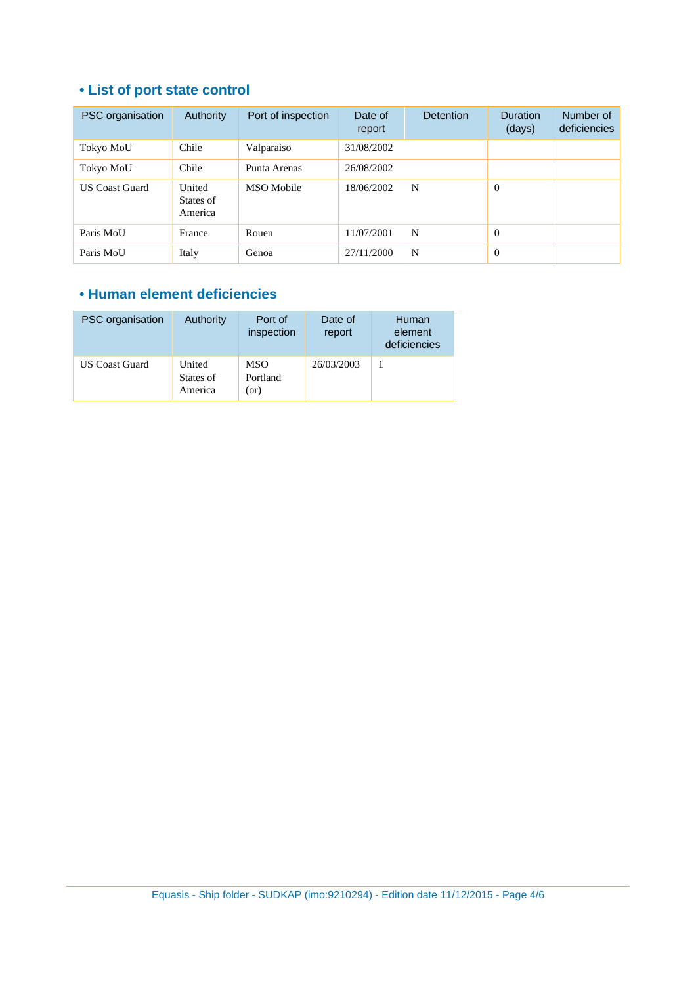## **• List of port state control**

| PSC organisation      | Authority                      | Port of inspection | Date of<br>report | <b>Detention</b> | <b>Duration</b><br>(days) | Number of<br>deficiencies |
|-----------------------|--------------------------------|--------------------|-------------------|------------------|---------------------------|---------------------------|
| Tokyo MoU             | Chile                          | Valparaiso         | 31/08/2002        |                  |                           |                           |
| Tokyo MoU             | Chile                          | Punta Arenas       | 26/08/2002        |                  |                           |                           |
| <b>US Coast Guard</b> | United<br>States of<br>America | MSO Mobile         | 18/06/2002        | N                | $\Omega$                  |                           |
| Paris MoU             | France                         | Rouen              | 11/07/2001        | N                | $\theta$                  |                           |
| Paris MoU             | Italy                          | Genoa              | 27/11/2000        | N                | $\Omega$                  |                           |

#### **• Human element deficiencies**

| PSC organisation      | Authority                      | Port of<br>inspection          | Date of<br>report | Human<br>element<br>deficiencies |
|-----------------------|--------------------------------|--------------------------------|-------------------|----------------------------------|
| <b>US Coast Guard</b> | United<br>States of<br>America | <b>MSO</b><br>Portland<br>(or) | 26/03/2003        |                                  |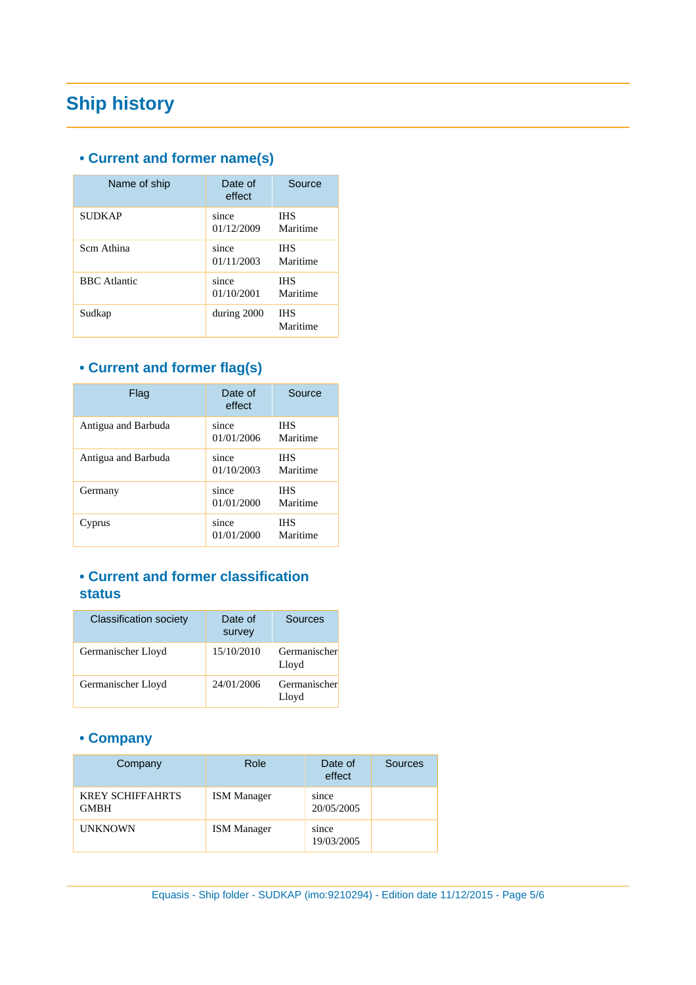# **Ship history**

#### **• Current and former name(s)**

| Name of ship        | Date of<br>effect   | Source                 |
|---------------------|---------------------|------------------------|
| <b>SUDKAP</b>       | since<br>01/12/2009 | <b>IHS</b><br>Maritime |
| Scm Athina          | since<br>01/11/2003 | <b>IHS</b><br>Maritime |
| <b>BBC</b> Atlantic | since<br>01/10/2001 | <b>IHS</b><br>Maritime |
| Sudkap              | during 2000         | <b>IHS</b><br>Maritime |

## **• Current and former flag(s)**

| Flag                | Date of<br>effect   | Source                 |
|---------------------|---------------------|------------------------|
| Antigua and Barbuda | since<br>01/01/2006 | <b>IHS</b><br>Maritime |
| Antigua and Barbuda | since<br>01/10/2003 | <b>IHS</b><br>Maritime |
| Germany             | since<br>01/01/2000 | <b>IHS</b><br>Maritime |
| Cyprus              | since<br>01/01/2000 | <b>IHS</b><br>Maritime |

#### **• Current and former classification status**

| <b>Classification society</b> | Date of<br>survey | Sources               |
|-------------------------------|-------------------|-----------------------|
| Germanischer Lloyd            | 15/10/2010        | Germanischer<br>Lloyd |
| Germanischer Lloyd            | 24/01/2006        | Germanischer<br>Lloyd |

### **• Company**

| Company                                | Role               | Date of<br>effect   | Sources |
|----------------------------------------|--------------------|---------------------|---------|
| <b>KREY SCHIFFAHRTS</b><br><b>GMBH</b> | <b>ISM</b> Manager | since<br>20/05/2005 |         |
| <b>UNKNOWN</b>                         | <b>ISM</b> Manager | since<br>19/03/2005 |         |